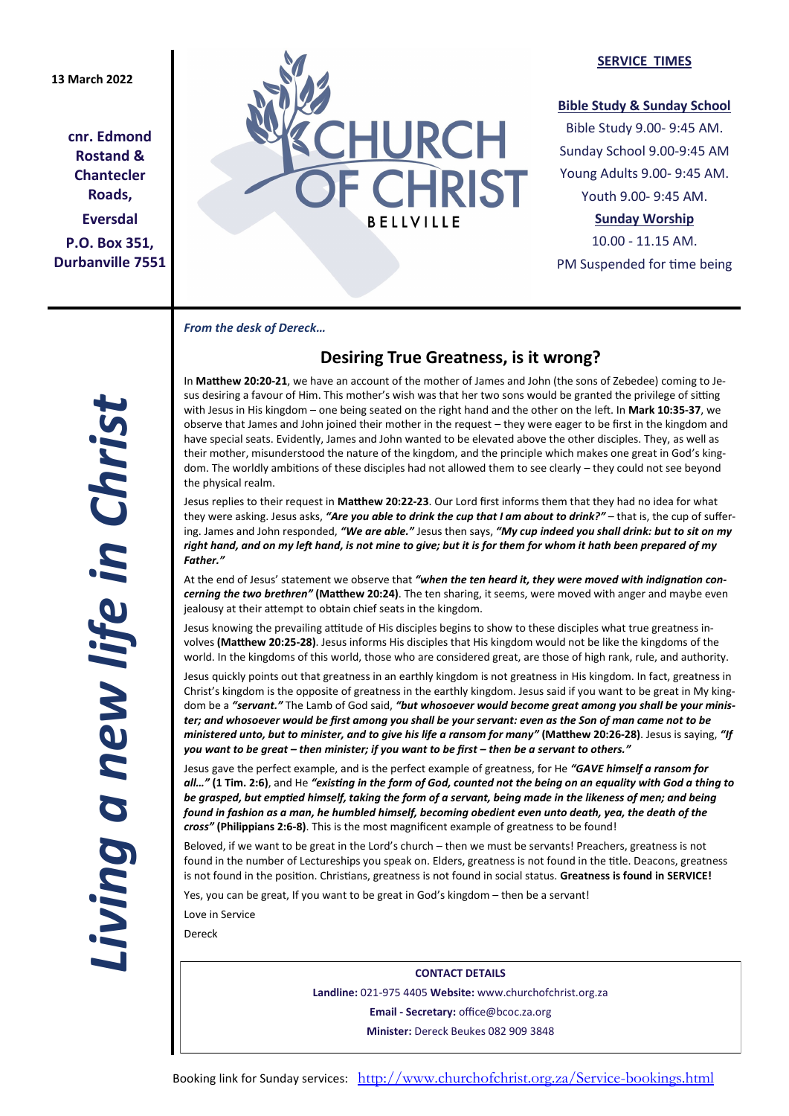# **13 March 2022**

**cnr. Edmond Rostand & Chantecler Roads, Eversdal P.O. Box 351, Durbanville 7551**



#### **SERVICE TIMES**

### **Bible Study & Sunday School**

Bible Study 9.00- 9:45 AM. Sunday School 9.00-9:45 AM Young Adults 9.00- 9:45 AM. Youth 9.00- 9:45 AM.

# **Sunday Worship**

10.00 - 11.15 AM. PM Suspended for time being

*From the desk of Dereck…* 

# **Desiring True Greatness, is it wrong?**

In **Matthew 20:20-21**, we have an account of the mother of James and John (the sons of Zebedee) coming to Jesus desiring a favour of Him. This mother's wish was that her two sons would be granted the privilege of sitting with Jesus in His kingdom – one being seated on the right hand and the other on the left. In **Mark 10:35-37**, we observe that James and John joined their mother in the request – they were eager to be first in the kingdom and have special seats. Evidently, James and John wanted to be elevated above the other disciples. They, as well as their mother, misunderstood the nature of the kingdom, and the principle which makes one great in God's kingdom. The worldly ambitions of these disciples had not allowed them to see clearly – they could not see beyond the physical realm.

Jesus replies to their request in **Matthew 20:22-23**. Our Lord first informs them that they had no idea for what they were asking. Jesus asks, *"Are you able to drink the cup that I am about to drink?"* – that is, the cup of suffering. James and John responded, *"We are able."* Jesus then says, *"My cup indeed you shall drink: but to sit on my right hand, and on my left hand, is not mine to give; but it is for them for whom it hath been prepared of my Father."*

At the end of Jesus' statement we observe that *"when the ten heard it, they were moved with indignation concerning the two brethren"* **(Matthew 20:24)**. The ten sharing, it seems, were moved with anger and maybe even jealousy at their attempt to obtain chief seats in the kingdom.

Jesus knowing the prevailing attitude of His disciples begins to show to these disciples what true greatness involves **(Matthew 20:25-28)**. Jesus informs His disciples that His kingdom would not be like the kingdoms of the world. In the kingdoms of this world, those who are considered great, are those of high rank, rule, and authority.

Jesus quickly points out that greatness in an earthly kingdom is not greatness in His kingdom. In fact, greatness in Christ's kingdom is the opposite of greatness in the earthly kingdom. Jesus said if you want to be great in My kingdom be a *"servant."* The Lamb of God said, *"but whosoever would become great among you shall be your minister; and whosoever would be first among you shall be your servant: even as the Son of man came not to be ministered unto, but to minister, and to give his life a ransom for many"* **(Matthew 20:26-28)**. Jesus is saying, *"If you want to be great – then minister; if you want to be first – then be a servant to others."*

Jesus gave the perfect example, and is the perfect example of greatness, for He *"GAVE himself a ransom for all…"* **(1 Tim. 2:6)**, and He *"existing in the form of God, counted not the being on an equality with God a thing to be grasped, but emptied himself, taking the form of a servant, being made in the likeness of men; and being found in fashion as a man, he humbled himself, becoming obedient even unto death, yea, the death of the cross"* **(Philippians 2:6-8)**. This is the most magnificent example of greatness to be found!

Beloved, if we want to be great in the Lord's church – then we must be servants! Preachers, greatness is not found in the number of Lectureships you speak on. Elders, greatness is not found in the title. Deacons, greatness is not found in the position. Christians, greatness is not found in social status. **Greatness is found in SERVICE!**

Yes, you can be great, If you want to be great in God's kingdom – then be a servant!

Love in Service

Dereck

**CONTACT DETAILS Landline:** 021-975 4405 **Website:** www.churchofchrist.org.za **Email - Secretary:** office@bcoc.za.org **Minister:** Dereck Beukes 082 909 3848